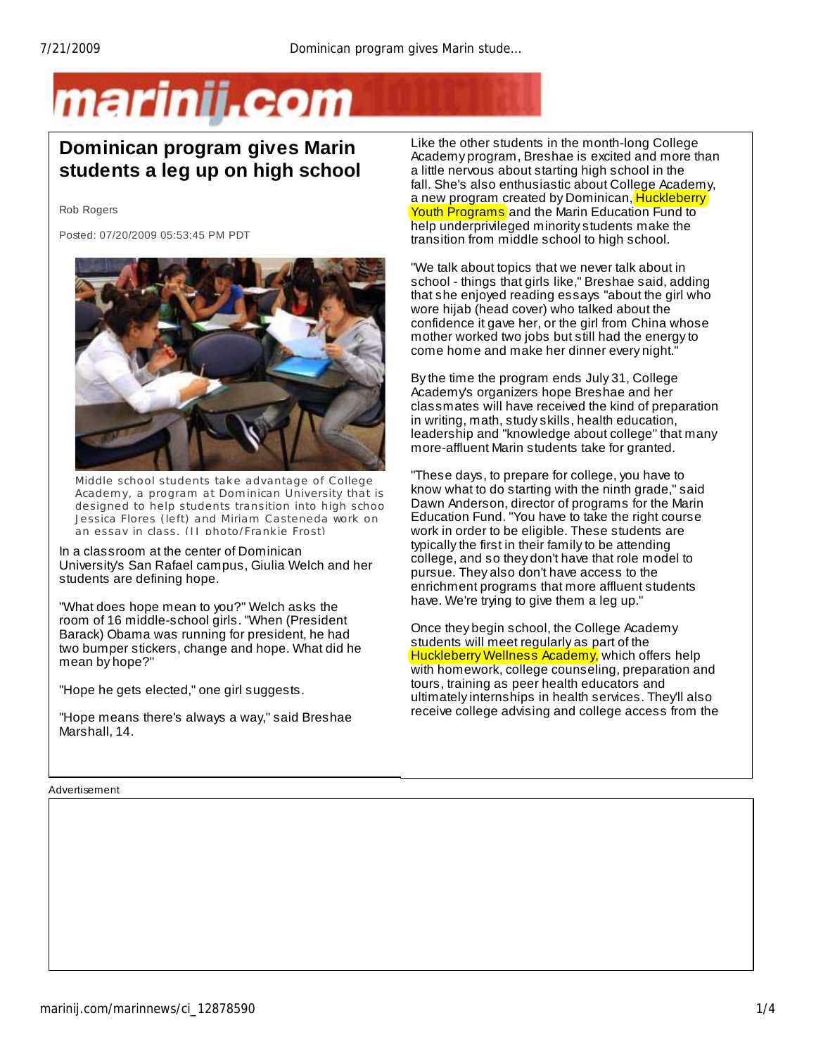## marinii.com

## **Dominican program gives Marin students a leg up on high school**

Rob Rogers

Posted: 07/20/2009 05:53:45 PM PDT



Middle school students take advantage of College Academy, a program at Dominican University that is de signed to help students transition into high schoo Jessica Flores (left) and Miriam Casteneda work on an essay in class. (IJ photo/Frankie Frost)

In a classroom at the center of Dominican University's San Rafael campus, Giulia Welch and her students are defining hope.

"What does hope mean to you?" Welch asks the room of 16 middle-school girls. "When (President Barack) Obama was running for president, he had two bumper stickers, change and hope. What did he mean by hope?"

"Hope he gets elected," one girl suggests.

"Hope means there's always a way," said Breshae Marshall, 14.

Advertisement

Like the other students in the month-long College Academy program, Breshae is excited and more than a little nervous about starting high school in the fall. She's also enthusiastic about College Academy, a new program created by Dominican, Huckleberry Youth Programs and the Marin Education Fund to help underprivileged minority students make the transition from middle school to high school.

"We talk about topics that we never talk about in school - things that girls like," Breshae said, adding that she enjoyed reading essays "about the girl who wore hijab (head cover) who talked about the confidence it gave her, or the girl from China whose mother worked two jobs but still had the energy to come home and make her dinner every night."

By the time the program ends July 31, College Academy's organizers hope Breshae and her classmates will have received the kind of preparation in writing, math, study skills, health education, leadership and "knowledge about college" that many more-affluent Marin students take for granted.

"These days, to prepare for college, you have to know what to do starting with the ninth grade," said Dawn Anderson, director of programs for the Marin Education Fund. "You have to take the right course work in order to be eligible. These students are typically the first in their family to be attending college, and so they don't have that role model to pursue. They also don't have access to the enrichment programs that more affluent students have. We're trying to give them a leg up."

Once they begin school, the College Academy students will meet regularly as part of the **Huckleberry Wellness Academy, which offers help** with homework, college counseling, preparation and tours, training as peer health educators and ultimately internships in health services. They'll also receive college advising and college access from the